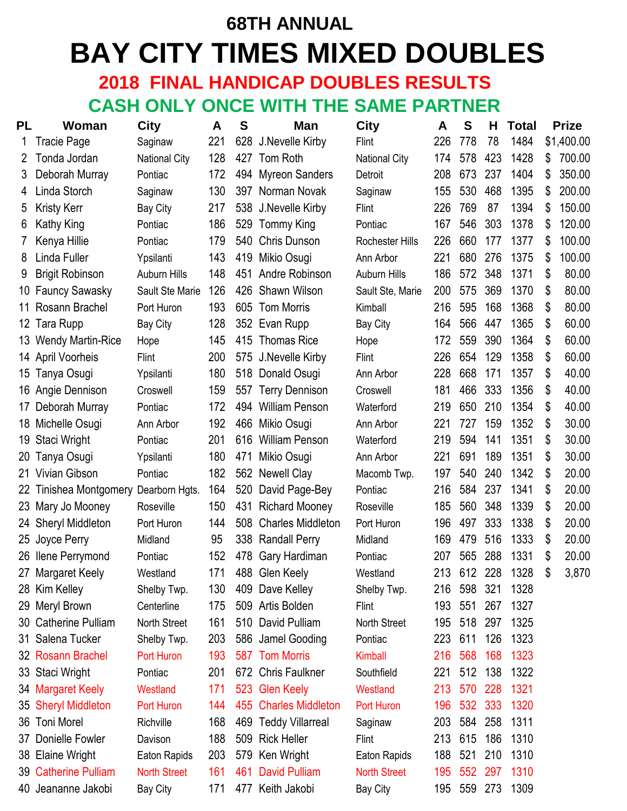# **68TH ANNUAL BAY CITY TIMES MIXED DOUBLES**

## **2018 FINAL HANDICAP DOUBLES RESULTS CASH ONLY ONCE WITH THE SAME PARTNER**

| <b>PL</b>  | Woman                    | <b>City</b>          | A   | S   | Man                      | City                   | A   | S       | H.  | <b>Total</b> | <b>Prize</b> |
|------------|--------------------------|----------------------|-----|-----|--------------------------|------------------------|-----|---------|-----|--------------|--------------|
|            | Tracie Page              | Saginaw              | 221 |     | 628 J.Nevelle Kirby      | <b>Flint</b>           | 226 | 778     | 78  | 1484         | \$1,400.00   |
| 2          | Tonda Jordan             | <b>National City</b> | 128 |     | 427 Tom Roth             | <b>National City</b>   | 174 | 578     | 423 | 1428         | \$<br>700.00 |
| 3          | Deborah Murray           | Pontiac              | 172 |     | 494 Myreon Sanders       | Detroit                | 208 | 673     | 237 | 1404         | \$<br>350.00 |
| 4          | Linda Storch             | Saginaw              | 130 |     | 397 Norman Novak         | Saginaw                | 155 | 530     | 468 | 1395         | \$<br>200.00 |
| 5          | <b>Kristy Kerr</b>       | <b>Bay City</b>      | 217 |     | 538 J.Nevelle Kirby      | Flint                  | 226 | 769     | 87  | 1394         | \$<br>150.00 |
| 6          | Kathy King               | Pontiac              | 186 |     | 529 Tommy King           | Pontiac                | 167 | 546     | 303 | 1378         | \$<br>120.00 |
| $\sqrt{2}$ | Kenya Hillie             | Pontiac              | 179 | 540 | <b>Chris Dunson</b>      | <b>Rochester Hills</b> | 226 | 660     | 177 | 1377         | \$<br>100.00 |
| 8          | Linda Fuller             | Ypsilanti            | 143 | 419 | Mikio Osugi              | Ann Arbor              | 221 | 680     | 276 | 1375         | \$<br>100.00 |
| 9          | <b>Brigit Robinson</b>   | <b>Auburn Hills</b>  | 148 |     | 451 Andre Robinson       | <b>Auburn Hills</b>    | 186 | 572     | 348 | 1371         | \$<br>80.00  |
| 10         | <b>Fauncy Sawasky</b>    | Sault Ste Marie      | 126 |     | 426 Shawn Wilson         | Sault Ste, Marie       | 200 | 575     | 369 | 1370         | \$<br>80.00  |
| 11         | Rosann Brachel           | Port Huron           | 193 |     | 605 Tom Morris           | Kimball                | 216 | 595     | 168 | 1368         | \$<br>80.00  |
| 12         | Tara Rupp                | <b>Bay City</b>      | 128 |     | 352 Evan Rupp            | <b>Bay City</b>        | 164 | 566     | 447 | 1365         | \$<br>60.00  |
| 13         | <b>Wendy Martin-Rice</b> | Hope                 | 145 |     | 415 Thomas Rice          | Hope                   | 172 | 559     | 390 | 1364         | \$<br>60.00  |
| 14         | <b>April Voorheis</b>    | Flint                | 200 |     | 575 J.Nevelle Kirby      | Flint                  | 226 | 654     | 129 | 1358         | \$<br>60.00  |
| 15         | Tanya Osugi              | Ypsilanti            | 180 |     | 518 Donald Osugi         | Ann Arbor              | 228 | 668     | 171 | 1357         | \$<br>40.00  |
| 16         | Angie Dennison           | Croswell             | 159 |     | 557 Terry Dennison       | Croswell               | 181 | 466     | 333 | 1356         | \$<br>40.00  |
| 17         | Deborah Murray           | Pontiac              | 172 |     | 494 William Penson       | Waterford              | 219 | 650     | 210 | 1354         | \$<br>40.00  |
| 18         | Michelle Osugi           | Ann Arbor            | 192 | 466 | Mikio Osugi              | Ann Arbor              | 221 | 727     | 159 | 1352         | \$<br>30.00  |
| 19         | Staci Wright             | Pontiac              | 201 | 616 | <b>William Penson</b>    | Waterford              | 219 | 594     | 141 | 1351         | \$<br>30.00  |
| 20         | Tanya Osugi              | Ypsilanti            | 180 | 471 | Mikio Osugi              | Ann Arbor              | 221 | 691     | 189 | 1351         | \$<br>30.00  |
|            | 21 Vivian Gibson         | Pontiac              | 182 |     | 562 Newell Clay          | Macomb Twp.            | 197 | 540     | 240 | 1342         | \$<br>20.00  |
| 22         | Tinishea Montgomery      | Dearborn Hgts.       | 164 | 520 | David Page-Bey           | Pontiac                | 216 | 584     | 237 | 1341         | \$<br>20.00  |
| 23         | Mary Jo Mooney           | Roseville            | 150 | 431 | <b>Richard Mooney</b>    | Roseville              | 185 | 560     | 348 | 1339         | \$<br>20.00  |
| 24         | <b>Sheryl Middleton</b>  | Port Huron           | 144 | 508 | <b>Charles Middleton</b> | Port Huron             | 196 | 497     | 333 | 1338         | \$<br>20.00  |
| 25         | Joyce Perry              | Midland              | 95  |     | 338 Randall Perry        | Midland                | 169 | 479     | 516 | 1333         | \$<br>20.00  |
| 26         | <b>Ilene Perrymond</b>   | Pontiac              | 152 | 478 | Gary Hardiman            | Pontiac                | 207 | 565     | 288 | 1331         | \$<br>20.00  |
|            | 27 Margaret Keely        | Westland             | 171 |     | 488 Glen Keely           | Westland               | 213 | 612     | 228 | 1328         | \$<br>3,870  |
|            | 28 Kim Kelley            | Shelby Twp.          | 130 |     | 409 Dave Kelley          | Shelby Twp.            | 216 | 598     | 321 | 1328         |              |
| 29         | Meryl Brown              | Centerline           | 175 |     | 509 Artis Bolden         | Flint                  | 193 | 551     | 267 | 1327         |              |
|            | 30 Catherine Pulliam     | North Street         | 161 |     | 510 David Pulliam        | North Street           | 195 | 518     | 297 | 1325         |              |
|            | 31 Salena Tucker         | Shelby Twp.          | 203 |     | 586 Jamel Gooding        | Pontiac                | 223 | 611     | 126 | 1323         |              |
|            | 32 Rosann Brachel        | Port Huron           | 193 |     | 587 Tom Morris           | <b>Kimball</b>         | 216 | 568     | 168 | 1323         |              |
|            | 33 Staci Wright          | Pontiac              | 201 |     | 672 Chris Faulkner       | Southfield             | 221 | 512     | 138 | 1322         |              |
|            | 34 Margaret Keely        | Westland             | 171 |     | 523 Glen Keely           | Westland               | 213 | 570     | 228 | 1321         |              |
|            | 35 Sheryl Middleton      | Port Huron           | 144 |     | 455 Charles Middleton    | Port Huron             | 196 | 532 333 |     | 1320         |              |
| 36         | <b>Toni Morel</b>        | Richville            | 168 |     | 469 Teddy Villarreal     | Saginaw                | 203 | 584     | 258 | 1311         |              |
| 37         | Donielle Fowler          | Davison              | 188 |     | 509 Rick Heller          | Flint                  | 213 | 615     | 186 | 1310         |              |
|            | 38 Elaine Wright         | Eaton Rapids         | 203 |     | 579 Ken Wright           | Eaton Rapids           | 188 | 521     | 210 | 1310         |              |
| 39         | <b>Catherine Pulliam</b> | <b>North Street</b>  | 161 | 461 | <b>David Pulliam</b>     | <b>North Street</b>    | 195 | 552     | 297 | 1310         |              |
|            | 40 Jeananne Jakobi       | Bay City             | 171 |     | 477 Keith Jakobi         | Bay City               | 195 | 559     | 273 | 1309         |              |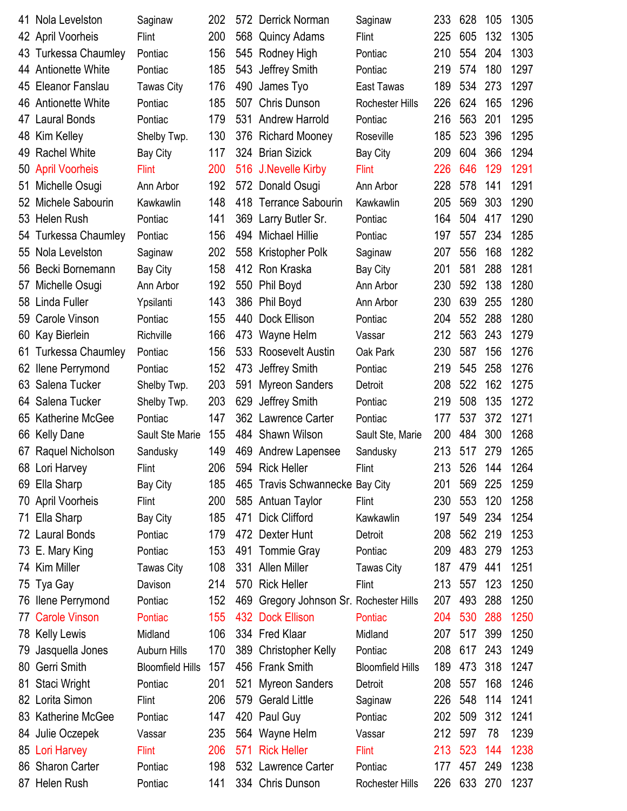|     | 41 Nola Levelston      | Saginaw                 | 202 |     | 572 Derrick Norman                      | Saginaw                 | 233 | 628     | 105 | 1305 |
|-----|------------------------|-------------------------|-----|-----|-----------------------------------------|-------------------------|-----|---------|-----|------|
|     | 42 April Voorheis      | Flint                   | 200 |     | 568 Quincy Adams                        | Flint                   | 225 | 605     | 132 | 1305 |
|     | 43 Turkessa Chaumley   | Pontiac                 | 156 |     | 545 Rodney High                         | Pontiac                 | 210 | 554     | 204 | 1303 |
|     | 44 Antionette White    | Pontiac                 | 185 |     | 543 Jeffrey Smith                       | Pontiac                 | 219 | 574     | 180 | 1297 |
|     | 45 Eleanor Fanslau     | <b>Tawas City</b>       | 176 |     | 490 James Tyo                           | East Tawas              | 189 | 534     | 273 | 1297 |
|     | 46 Antionette White    | Pontiac                 | 185 |     | 507 Chris Dunson                        | <b>Rochester Hills</b>  | 226 | 624     | 165 | 1296 |
|     | 47 Laural Bonds        | Pontiac                 | 179 |     | 531 Andrew Harrold                      | Pontiac                 | 216 | 563     | 201 | 1295 |
| 48  | Kim Kelley             | Shelby Twp.             | 130 |     | 376 Richard Mooney                      | Roseville               | 185 | 523     | 396 | 1295 |
|     | 49 Rachel White        | <b>Bay City</b>         | 117 |     | 324 Brian Sizick                        | Bay City                | 209 | 604     | 366 | 1294 |
|     | 50 April Voorheis      | <b>Flint</b>            | 200 |     | 516 J.Nevelle Kirby                     | <b>Flint</b>            | 226 | 646     | 129 | 1291 |
| 51  | Michelle Osugi         | Ann Arbor               | 192 |     | 572 Donald Osugi                        | Ann Arbor               | 228 | 578     | 141 | 1291 |
|     | 52 Michele Sabourin    | Kawkawlin               | 148 |     | 418 Terrance Sabourin                   | Kawkawlin               | 205 | 569     | 303 | 1290 |
|     | 53 Helen Rush          | Pontiac                 | 141 |     | 369 Larry Butler Sr.                    | Pontiac                 | 164 | 504     | 417 | 1290 |
|     | 54 Turkessa Chaumley   | Pontiac                 | 156 |     | 494 Michael Hillie                      | Pontiac                 | 197 | 557     | 234 | 1285 |
|     | 55 Nola Levelston      | Saginaw                 | 202 |     | 558 Kristopher Polk                     | Saginaw                 | 207 | 556     | 168 | 1282 |
| 56  | Becki Bornemann        | Bay City                | 158 |     | 412 Ron Kraska                          | Bay City                | 201 | 581     | 288 | 1281 |
|     | 57 Michelle Osugi      | Ann Arbor               | 192 |     | 550 Phil Boyd                           | Ann Arbor               | 230 | 592     | 138 | 1280 |
|     | 58 Linda Fuller        | Ypsilanti               | 143 |     | 386 Phil Boyd                           | Ann Arbor               | 230 | 639     | 255 | 1280 |
| 59  | Carole Vinson          | Pontiac                 | 155 | 440 | Dock Ellison                            | Pontiac                 | 204 | 552     | 288 | 1280 |
| 60  | Kay Bierlein           | Richville               | 166 |     | 473 Wayne Helm                          | Vassar                  | 212 | 563     | 243 | 1279 |
| 61  | Turkessa Chaumley      | Pontiac                 | 156 |     | 533 Roosevelt Austin                    | Oak Park                | 230 | 587     | 156 | 1276 |
|     | 62 Ilene Perrymond     | Pontiac                 | 152 |     | 473 Jeffrey Smith                       | Pontiac                 | 219 | 545     | 258 | 1276 |
|     | 63 Salena Tucker       | Shelby Twp.             | 203 | 591 | <b>Myreon Sanders</b>                   | Detroit                 | 208 | 522     | 162 | 1275 |
| 64  | Salena Tucker          | Shelby Twp.             | 203 | 629 | Jeffrey Smith                           | Pontiac                 | 219 | 508     | 135 | 1272 |
| 65  | <b>Katherine McGee</b> | Pontiac                 | 147 |     | 362 Lawrence Carter                     | Pontiac                 | 177 | 537     | 372 | 1271 |
| 66  | <b>Kelly Dane</b>      | Sault Ste Marie         | 155 |     | 484 Shawn Wilson                        | Sault Ste, Marie        | 200 | 484     | 300 | 1268 |
| 67  | Raquel Nicholson       | Sandusky                | 149 |     | 469 Andrew Lapensee                     | Sandusky                | 213 | 517     | 279 | 1265 |
|     | 68 Lori Harvey         | Flint                   | 206 |     | 594 Rick Heller                         | Flint                   | 213 | 526     | 144 | 1264 |
|     | 69 Ella Sharp          | <b>Bay City</b>         | 185 |     | 465 Travis Schwannecke Bay City         |                         | 201 | 569     | 225 | 1259 |
|     | 70 April Voorheis      | Flint                   | 200 |     | 585 Antuan Taylor                       | <b>Flint</b>            | 230 | 553     | 120 | 1258 |
|     | 71 Ella Sharp          | <b>Bay City</b>         | 185 |     | 471 Dick Clifford                       | Kawkawlin               | 197 | 549     | 234 | 1254 |
|     | 72 Laural Bonds        | Pontiac                 | 179 |     | 472 Dexter Hunt                         | Detroit                 | 208 | 562     | 219 | 1253 |
|     | 73 E. Mary King        | Pontiac                 | 153 |     | 491 Tommie Gray                         | Pontiac                 | 209 | 483     | 279 | 1253 |
|     | 74 Kim Miller          | <b>Tawas City</b>       | 108 |     | 331 Allen Miller                        | <b>Tawas City</b>       | 187 | 479     | 441 | 1251 |
| 75  | Tya Gay                | Davison                 | 214 |     | 570 Rick Heller                         | <b>Flint</b>            | 213 | 557     | 123 | 1250 |
|     | 76 Ilene Perrymond     | Pontiac                 | 152 |     | 469 Gregory Johnson Sr. Rochester Hills |                         | 207 | 493     | 288 | 1250 |
|     | 77 Carole Vinson       | Pontiac                 | 155 |     | 432 Dock Ellison                        | Pontiac                 | 204 | 530     | 288 | 1250 |
|     | 78 Kelly Lewis         | Midland                 | 106 |     | 334 Fred Klaar                          | Midland                 | 207 | 517     | 399 | 1250 |
| 79. | Jasquella Jones        | <b>Auburn Hills</b>     | 170 |     | 389 Christopher Kelly                   | Pontiac                 | 208 | 617     | 243 | 1249 |
| 80  | Gerri Smith            | <b>Bloomfield Hills</b> | 157 |     | 456 Frank Smith                         | <b>Bloomfield Hills</b> | 189 | 473     | 318 | 1247 |
| 81  | Staci Wright           | Pontiac                 | 201 |     | 521 Myreon Sanders                      | Detroit                 | 208 | 557     | 168 | 1246 |
|     | 82 Lorita Simon        | Flint                   | 206 |     | 579 Gerald Little                       | Saginaw                 | 226 | 548     | 114 | 1241 |
|     | 83 Katherine McGee     | Pontiac                 | 147 |     | 420 Paul Guy                            | Pontiac                 | 202 | 509     | 312 | 1241 |
|     | 84 Julie Oczepek       | Vassar                  | 235 |     | 564 Wayne Helm                          | Vassar                  | 212 | 597     | 78  | 1239 |
|     | 85 Lori Harvey         | <b>Flint</b>            | 206 |     | 571 Rick Heller                         | <b>Flint</b>            | 213 | 523     | 144 | 1238 |
|     | 86 Sharon Carter       | Pontiac                 | 198 |     | 532 Lawrence Carter                     | Pontiac                 | 177 | 457     | 249 | 1238 |
|     | 87 Helen Rush          | Pontiac                 | 141 |     | 334 Chris Dunson                        | <b>Rochester Hills</b>  | 226 | 633 270 |     | 1237 |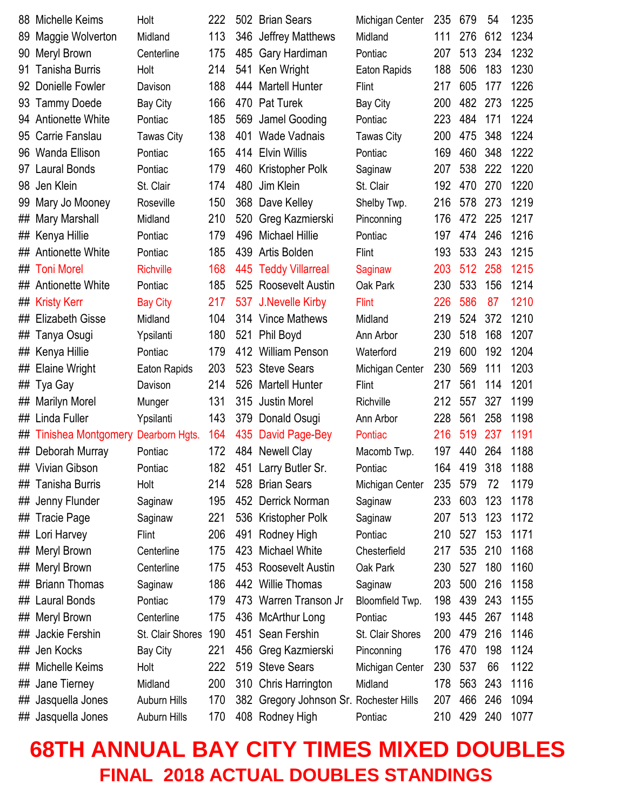| 88 | Michelle Keims                     | Holt                | 222 |     | 502 Brian Sears                         | Michigan Center   | 235 | 679     | 54  | 1235 |
|----|------------------------------------|---------------------|-----|-----|-----------------------------------------|-------------------|-----|---------|-----|------|
| 89 | Maggie Wolverton                   | Midland             | 113 |     | 346 Jeffrey Matthews                    | Midland           | 111 | 276     | 612 | 1234 |
| 90 | Meryl Brown                        | Centerline          | 175 |     | 485 Gary Hardiman                       | Pontiac           | 207 | 513     | 234 | 1232 |
| 91 | <b>Tanisha Burris</b>              | Holt                | 214 | 541 | Ken Wright                              | Eaton Rapids      | 188 | 506     | 183 | 1230 |
| 92 | Donielle Fowler                    | Davison             | 188 |     | 444 Martell Hunter                      | <b>Flint</b>      | 217 | 605     | 177 | 1226 |
|    | 93 Tammy Doede                     | <b>Bay City</b>     | 166 |     | 470 Pat Turek                           | <b>Bay City</b>   | 200 | 482     | 273 | 1225 |
|    | 94 Antionette White                | Pontiac             | 185 | 569 | Jamel Gooding                           | Pontiac           | 223 | 484     | 171 | 1224 |
| 95 | Carrie Fanslau                     | <b>Tawas City</b>   | 138 |     | 401 Wade Vadnais                        | <b>Tawas City</b> | 200 | 475     | 348 | 1224 |
|    | 96 Wanda Ellison                   | Pontiac             | 165 |     | 414 Elvin Willis                        | Pontiac           | 169 | 460     | 348 | 1222 |
| 97 | <b>Laural Bonds</b>                | Pontiac             | 179 | 460 | Kristopher Polk                         | Saginaw           | 207 | 538     | 222 | 1220 |
| 98 | Jen Klein                          | St. Clair           | 174 | 480 | Jim Klein                               | St. Clair         | 192 | 470     | 270 | 1220 |
| 99 | Mary Jo Mooney                     | Roseville           | 150 |     | 368 Dave Kelley                         | Shelby Twp.       | 216 | 578     | 273 | 1219 |
| ## | Mary Marshall                      | Midland             | 210 | 520 | Greg Kazmierski                         | Pinconning        | 176 | 472     | 225 | 1217 |
| ## | Kenya Hillie                       | Pontiac             | 179 | 496 | <b>Michael Hillie</b>                   | Pontiac           | 197 | 474     | 246 | 1216 |
|    | ## Antionette White                | Pontiac             | 185 |     | 439 Artis Bolden                        | <b>Flint</b>      | 193 | 533     | 243 | 1215 |
|    | ## Toni Morel                      | <b>Richville</b>    | 168 | 445 | <b>Teddy Villarreal</b>                 | Saginaw           | 203 | 512 258 |     | 1215 |
|    | ## Antionette White                | Pontiac             | 185 |     | 525 Roosevelt Austin                    | Oak Park          | 230 | 533     | 156 | 1214 |
|    | ## Kristy Kerr                     | <b>Bay City</b>     | 217 |     | 537 J.Nevelle Kirby                     | <b>Flint</b>      | 226 | 586     | 87  | 1210 |
| ## | <b>Elizabeth Gisse</b>             | Midland             | 104 |     | 314 Vince Mathews                       | Midland           | 219 | 524     | 372 | 1210 |
| ## | Tanya Osugi                        | Ypsilanti           | 180 |     | 521 Phil Boyd                           | Ann Arbor         | 230 | 518     | 168 | 1207 |
| ## | Kenya Hillie                       | Pontiac             | 179 |     | 412 William Penson                      | Waterford         | 219 | 600     | 192 | 1204 |
| ## | <b>Elaine Wright</b>               | Eaton Rapids        | 203 |     | 523 Steve Sears                         | Michigan Center   | 230 | 569     | 111 | 1203 |
| ## | Tya Gay                            | Davison             | 214 |     | 526 Martell Hunter                      | <b>Flint</b>      | 217 | 561     | 114 | 1201 |
| ## | <b>Marilyn Morel</b>               | Munger              | 131 | 315 | <b>Justin Morel</b>                     | Richville         | 212 | 557     | 327 | 1199 |
|    | ## Linda Fuller                    | Ypsilanti           | 143 |     | 379 Donald Osugi                        | Ann Arbor         | 228 | 561     | 258 | 1198 |
| ## | Tinishea Montgomery Dearborn Hgts. |                     | 164 | 435 | David Page-Bey                          | Pontiac           | 216 | 519     | 237 | 1191 |
| ## | Deborah Murray                     | Pontiac             | 172 |     | 484 Newell Clay                         | Macomb Twp.       | 197 | 440     | 264 | 1188 |
|    | ## Vivian Gibson                   | Pontiac             | 182 |     | 451 Larry Butler Sr.                    | Pontiac           | 164 | 419     | 318 | 1188 |
|    | ## Tanisha Burris                  | Holt                | 214 |     | 528 Brian Sears                         | Michigan Center   | 235 | 579     | 72  | 1179 |
|    | ## Jenny Flunder                   | Saginaw             | 195 |     | 452 Derrick Norman                      | Saginaw           | 233 | 603     | 123 | 1178 |
| ## | Tracie Page                        | Saginaw             | 221 |     | 536 Kristopher Polk                     | Saginaw           | 207 | 513     | 123 | 1172 |
|    | ## Lori Harvey                     | Flint               | 206 |     | 491 Rodney High                         | Pontiac           | 210 | 527     | 153 | 1171 |
| ## | Meryl Brown                        | Centerline          | 175 |     | 423 Michael White                       | Chesterfield      | 217 | 535     | 210 | 1168 |
| ## | Meryl Brown                        | Centerline          | 175 |     | 453 Roosevelt Austin                    | Oak Park          | 230 | 527     | 180 | 1160 |
| ## | <b>Briann Thomas</b>               | Saginaw             | 186 |     | 442 Willie Thomas                       | Saginaw           | 203 | 500     | 216 | 1158 |
|    | ## Laural Bonds                    | Pontiac             | 179 |     | 473 Warren Transon Jr                   | Bloomfield Twp.   | 198 | 439     | 243 | 1155 |
| ## | Meryl Brown                        | Centerline          | 175 |     | 436 McArthur Long                       | Pontiac           | 193 | 445     | 267 | 1148 |
| ## | Jackie Fershin                     | St. Clair Shores    | 190 |     | 451 Sean Fershin                        | St. Clair Shores  | 200 | 479     | 216 | 1146 |
|    | ## Jen Kocks                       | <b>Bay City</b>     | 221 |     | 456 Greg Kazmierski                     | Pinconning        | 176 | 470     | 198 | 1124 |
| ## | Michelle Keims                     | Holt                | 222 |     | 519 Steve Sears                         | Michigan Center   | 230 | 537     | 66  | 1122 |
| ## | Jane Tierney                       | Midland             | 200 |     | 310 Chris Harrington                    | Midland           | 178 | 563     | 243 | 1116 |
|    | ## Jasquella Jones                 | <b>Auburn Hills</b> | 170 |     | 382 Gregory Johnson Sr. Rochester Hills |                   | 207 | 466     | 246 | 1094 |
|    | ## Jasquella Jones                 | Auburn Hills        | 170 |     | 408 Rodney High                         | Pontiac           | 210 | 429 240 |     | 1077 |

## **68TH ANNUAL BAY CITY TIMES MIXED DOUBLES FINAL 2018 ACTUAL DOUBLES STANDINGS**